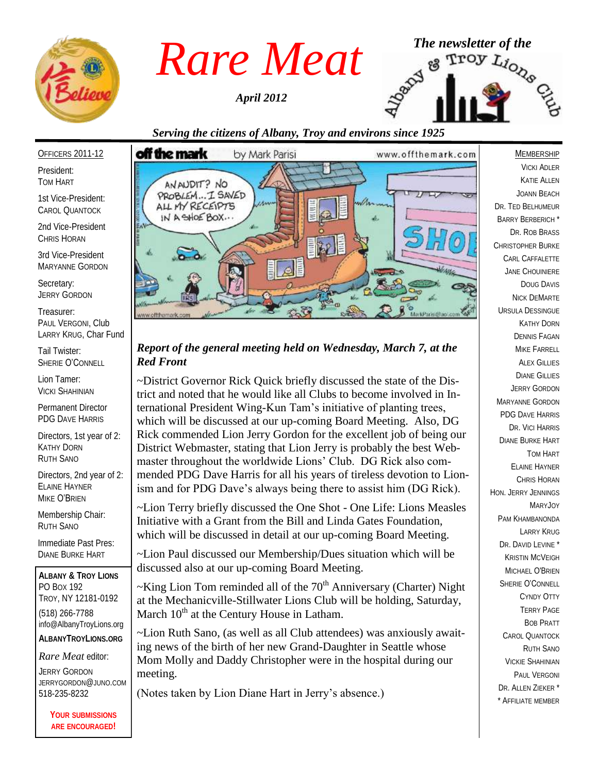

*April 2012*



# *Serving the citizens of Albany, Troy and environs since 1925*

#### OFFICERS 2011-12

President: TOM HART

1st Vice-President: CAROL QUANTOCK

2nd Vice-President CHRIS HORAN

3rd Vice-President MARYANNE GORDON

Secretary: JERRY GORDON

Treasurer: PAUL VERGONI, Club LARRY KRUG, Char Fund

Tail Twister: SHERIE O'CONNELL

Lion Tamer: VICKI SHAHINIAN

Permanent Director PDG DAVE HARRIS

Directors, 1st year of 2: KATHY DORN RUTH SANO

Directors, 2nd year of 2: ELAINE HAYNER MIKE O'BRIEN

Membership Chair: RUTH SANO

Immediate Past Pres: DIANE BURKE HART

**ALBANY & TROY LIONS** PO BOX 192 TROY, NY 12181-0192 (518) 266-7788 info@AlbanyTroyLions.org **ALBANYTROYLIONS.ORG**

*Rare Meat* editor:

JERRY GORDON JERRYGORDON@JUNO.COM 518-235-8232

> **YOUR SUBMISSIONS ARE ENCOURAGED!**



## *Report of the general meeting held on Wednesday, March 7, at the Red Front*

~District Governor Rick Quick briefly discussed the state of the District and noted that he would like all Clubs to become involved in International President Wing-Kun Tam's initiative of planting trees, which will be discussed at our up-coming Board Meeting. Also, DG Rick commended Lion Jerry Gordon for the excellent job of being our District Webmaster, stating that Lion Jerry is probably the best Webmaster throughout the worldwide Lions' Club. DG Rick also commended PDG Dave Harris for all his years of tireless devotion to Lionism and for PDG Dave's always being there to assist him (DG Rick).

~Lion Terry briefly discussed the One Shot - One Life: Lions Measles Initiative with a Grant from the Bill and Linda Gates Foundation, which will be discussed in detail at our up-coming Board Meeting.

~Lion Paul discussed our Membership/Dues situation which will be discussed also at our up-coming Board Meeting.

 $\sim$ King Lion Tom reminded all of the 70<sup>th</sup> Anniversary (Charter) Night at the Mechanicville-Stillwater Lions Club will be holding, Saturday, March 10<sup>th</sup> at the Century House in Latham.

~Lion Ruth Sano, (as well as all Club attendees) was anxiously awaiting news of the birth of her new Grand-Daughter in Seattle whose Mom Molly and Daddy Christopher were in the hospital during our meeting.

(Notes taken by Lion Diane Hart in Jerry's absence.)

**MEMBERSHIP** VICKI ADLER KATIE ALLEN JOANN BEACH DR. TED BELHUMEUR BARRY BERBERICH \* DR. ROB BRASS CHRISTOPHER BURKE CARL CAFFALETTE JANE CHOUINIERE DOUG DAVIS NICK DEMARTE URSULA DESSINGUE KATHY DORN DENNIS FAGAN MIKE FARRELL **ALEX GILLIES** DIANE GILLIES JERRY GORDON MARYANNE GORDON PDG DAVE HARRIS DR. VICI HARRIS DIANE BURKE HART TOM HART ELAINE HAYNER CHRIS HORAN HON. JERRY JENNINGS MARYJOY PAM KHAMBANONDA LARRY KRUG DR. DAVID LEVINE<sup>\*</sup> KRISTIN MCVEIGH MICHAEL O'BRIEN SHERIE O'CONNELL CYNDY OTTY TERRY PAGE BOB PRATT CAROL QUANTOCK RUTH SANO VICKIE SHAHINIAN PAUL VERGONI DR. ALLEN ZIEKER \* \* AFFILIATE MEMBER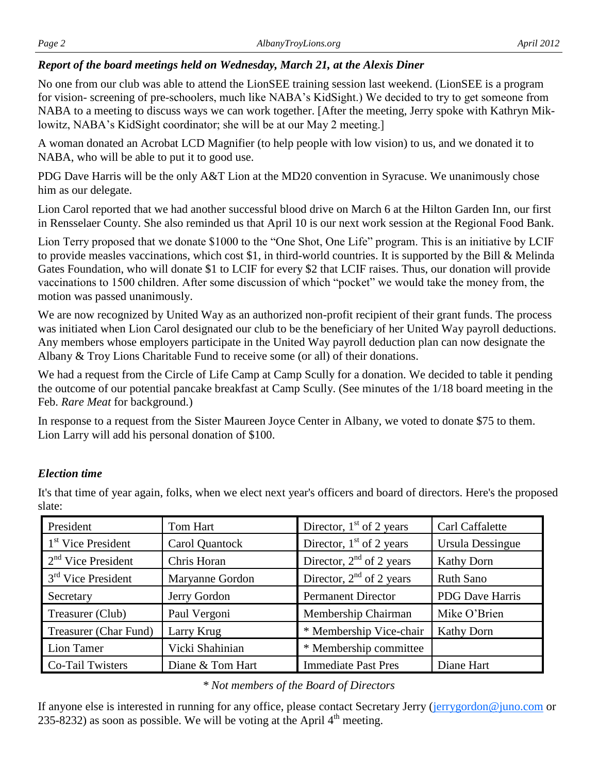### *Report of the board meetings held on Wednesday, March 21, at the Alexis Diner*

No one from our club was able to attend the LionSEE training session last weekend. (LionSEE is a program for vision- screening of pre-schoolers, much like NABA's KidSight.) We decided to try to get someone from NABA to a meeting to discuss ways we can work together. [After the meeting, Jerry spoke with Kathryn Miklowitz, NABA's KidSight coordinator; she will be at our May 2 meeting.]

A woman donated an Acrobat LCD Magnifier (to help people with low vision) to us, and we donated it to NABA, who will be able to put it to good use.

PDG Dave Harris will be the only A&T Lion at the MD20 convention in Syracuse. We unanimously chose him as our delegate.

Lion Carol reported that we had another successful blood drive on March 6 at the Hilton Garden Inn, our first in Rensselaer County. She also reminded us that April 10 is our next work session at the Regional Food Bank.

Lion Terry proposed that we donate \$1000 to the "One Shot, One Life" program. This is an initiative by LCIF to provide measles vaccinations, which cost \$1, in third-world countries. It is supported by the Bill & Melinda Gates Foundation, who will donate \$1 to LCIF for every \$2 that LCIF raises. Thus, our donation will provide vaccinations to 1500 children. After some discussion of which "pocket" we would take the money from, the motion was passed unanimously.

We are now recognized by United Way as an authorized non-profit recipient of their grant funds. The process was initiated when Lion Carol designated our club to be the beneficiary of her United Way payroll deductions. Any members whose employers participate in the United Way payroll deduction plan can now designate the Albany & Troy Lions Charitable Fund to receive some (or all) of their donations.

We had a request from the Circle of Life Camp at Camp Scully for a donation. We decided to table it pending the outcome of our potential pancake breakfast at Camp Scully. (See minutes of the 1/18 board meeting in the Feb. *Rare Meat* for background.)

In response to a request from the Sister Maureen Joyce Center in Albany, we voted to donate \$75 to them. Lion Larry will add his personal donation of \$100.

# *Election time*

It's that time of year again, folks, when we elect next year's officers and board of directors. Here's the proposed slate:

| President             | Tom Hart         | Director, $1st$ of 2 years | Carl Caffalette        |
|-----------------------|------------------|----------------------------|------------------------|
| $1st$ Vice President  | Carol Quantock   | Director, $1st$ of 2 years | Ursula Dessingue       |
| $2nd$ Vice President  | Chris Horan      | Director, $2nd$ of 2 years | <b>Kathy Dorn</b>      |
| $3rd$ Vice President  | Maryanne Gordon  | Director, $2nd$ of 2 years | <b>Ruth Sano</b>       |
| Secretary             | Jerry Gordon     | <b>Permanent Director</b>  | <b>PDG</b> Dave Harris |
| Treasurer (Club)      | Paul Vergoni     | Membership Chairman        | Mike O'Brien           |
| Treasurer (Char Fund) | Larry Krug       | * Membership Vice-chair    | <b>Kathy Dorn</b>      |
| Lion Tamer            | Vicki Shahinian  | * Membership committee     |                        |
| Co-Tail Twisters      | Diane & Tom Hart | <b>Immediate Past Pres</b> | Diane Hart             |

#### *\* Not members of the Board of Directors*

If anyone else is interested in running for any office, please contact Secretary Jerry ([jerrygordon@juno.com](mailto:jerrygordon@juno.com) or 235-8232) as soon as possible. We will be voting at the April  $4<sup>th</sup>$  meeting.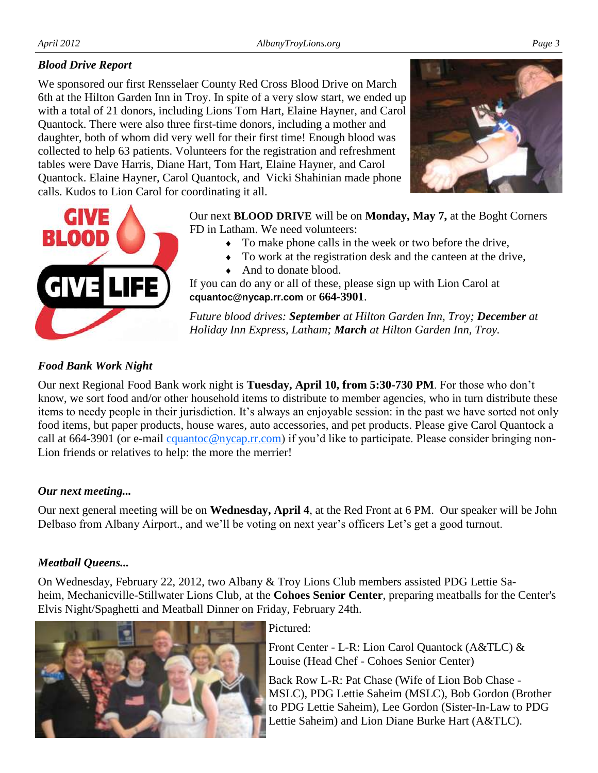## *Blood Drive Report*

We sponsored our first Rensselaer County Red Cross Blood Drive on March 6th at the Hilton Garden Inn in Troy. In spite of a very slow start, we ended up with a total of 21 donors, including Lions Tom Hart, Elaine Hayner, and Carol Quantock. There were also three first-time donors, including a mother and daughter, both of whom did very well for their first time! Enough blood was collected to help 63 patients. Volunteers for the registration and refreshment tables were Dave Harris, Diane Hart, Tom Hart, Elaine Hayner, and Carol Quantock. Elaine Hayner, Carol Quantock, and Vicki Shahinian made phone calls. Kudos to Lion Carol for coordinating it all.





Our next **BLOOD DRIVE** will be on **Monday, May 7,** at the Boght Corners FD in Latham. We need volunteers:

- To make phone calls in the week or two before the drive,
- To work at the registration desk and the canteen at the drive,
- And to donate blood.

If you can do any or all of these, please sign up with Lion Carol at **cquantoc@nycap.rr.com** or **664-3901**.

*Future blood drives: September at Hilton Garden Inn, Troy; December at Holiday Inn Express, Latham; March at Hilton Garden Inn, Troy.*

### *Food Bank Work Night*

Our next Regional Food Bank work night is **Tuesday, April 10, from 5:30-730 PM**. For those who don't know, we sort food and/or other household items to distribute to member agencies, who in turn distribute these items to needy people in their jurisdiction. It's always an enjoyable session: in the past we have sorted not only food items, but paper products, house wares, auto accessories, and pet products. Please give Carol Quantock a call at 664-3901 (or e-mail *cquantoc@nycap.rr.com*) if you'd like to participate. Please consider bringing non-Lion friends or relatives to help: the more the merrier!

#### *Our next meeting...*

Our next general meeting will be on **Wednesday, April 4**, at the Red Front at 6 PM. Our speaker will be John Delbaso from Albany Airport., and we'll be voting on next year's officers Let's get a good turnout.

# *Meatball Queens...*

On Wednesday, February 22, 2012, two Albany & Troy Lions Club members assisted PDG Lettie Saheim, Mechanicville-Stillwater Lions Club, at the **Cohoes Senior Center**, preparing meatballs for the Center's Elvis Night/Spaghetti and Meatball Dinner on Friday, February 24th.



Pictured:

Front Center - L-R: Lion Carol Quantock (A&TLC) & Louise (Head Chef - Cohoes Senior Center)

Back Row L-R: Pat Chase (Wife of Lion Bob Chase - MSLC), PDG Lettie Saheim (MSLC), Bob Gordon (Brother to PDG Lettie Saheim), Lee Gordon (Sister-In-Law to PDG Lettie Saheim) and Lion Diane Burke Hart (A&TLC).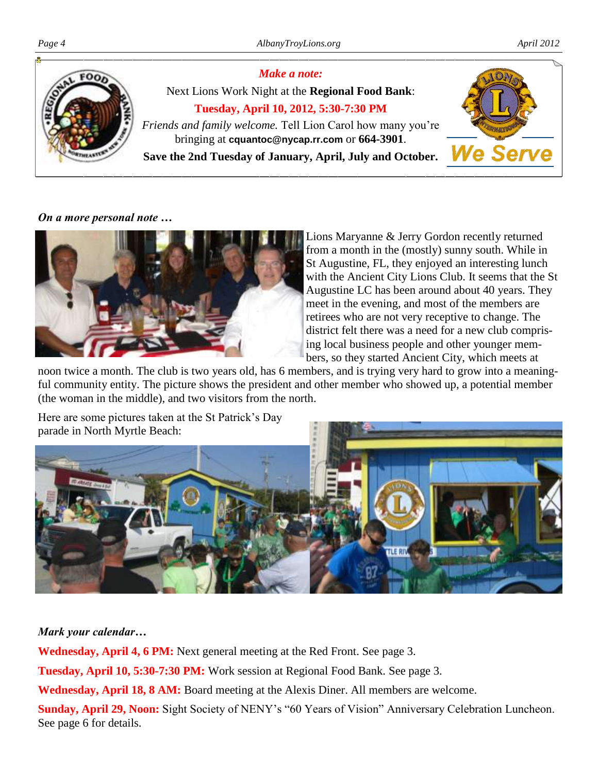

*On a more personal note …*



Lions Maryanne & Jerry Gordon recently returned from a month in the (mostly) sunny south. While in St Augustine, FL, they enjoyed an interesting lunch with the Ancient City Lions Club. It seems that the St Augustine LC has been around about 40 years. They meet in the evening, and most of the members are retirees who are not very receptive to change. The district felt there was a need for a new club comprising local business people and other younger members, so they started Ancient City, which meets at

noon twice a month. The club is two years old, has 6 members, and is trying very hard to grow into a meaningful community entity. The picture shows the president and other member who showed up, a potential member (the woman in the middle), and two visitors from the north.

Here are some pictures taken at the St Patrick's Day parade in North Myrtle Beach:



# *Mark your calendar…*

Wednesday, April 4, 6 PM: Next general meeting at the Red Front. See page 3.

**Tuesday, April 10, 5:30-7:30 PM:** Work session at Regional Food Bank. See page 3.

**Wednesday, April 18, 8 AM:** Board meeting at the Alexis Diner. All members are welcome.

**Sunday, April 29, Noon:** Sight Society of NENY's "60 Years of Vision" Anniversary Celebration Luncheon. See page 6 for details.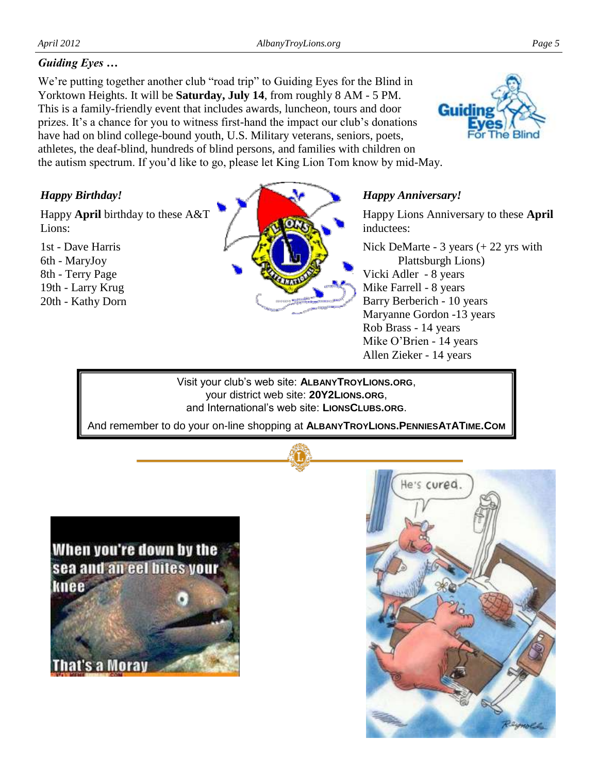# *Guiding Eyes …*

We're putting together another club "road trip" to Guiding Eyes for the Blind in Yorktown Heights. It will be **Saturday, July 14**, from roughly 8 AM - 5 PM. This is a family-friendly event that includes awards, luncheon, tours and door prizes. It's a chance for you to witness first-hand the impact our club's donations have had on blind college-bound youth, U.S. Military veterans, seniors, poets, athletes, the deaf-blind, hundreds of blind persons, and families with children on the autism spectrum. If you'd like to go, please let King Lion Tom know by mid-May.



# *Happy Birthday!*

Happy **April** birthday to these A&T Lions:

1st - Dave Harris 6th - MaryJoy 8th - Terry Page 19th - Larry Krug 20th - Kathy Dorn



#### *Happy Anniversary!*

Happy Lions Anniversary to these **April**  inductees:

Nick DeMarte - 3 years (+ 22 yrs with Plattsburgh Lions) Vicki Adler - 8 years Mike Farrell - 8 years Barry Berberich - 10 years Maryanne Gordon -13 years Rob Brass - 14 years Mike O'Brien - 14 years Allen Zieker - 14 years

Visit your club's web site: **ALBANYTROYLIONS.ORG**, your district web site: **20Y2LIONS.ORG**, and International's web site: **LIONSCLUBS.ORG**.

And remember to do your on-line shopping at **ALBANYTROYLIONS.PENNIESATATIME.COM**